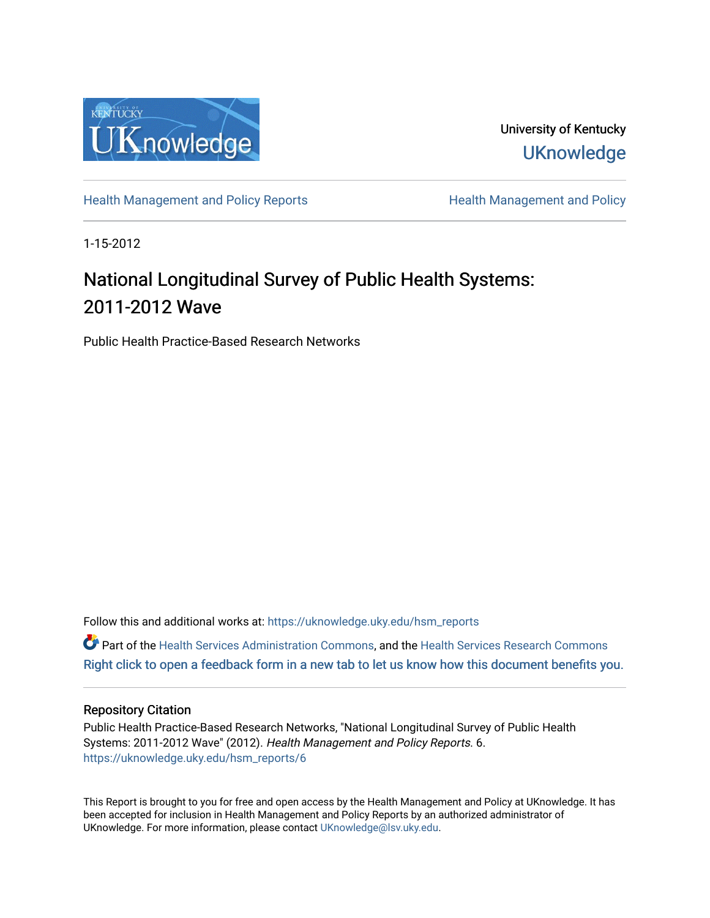

University of Kentucky **UKnowledge** 

[Health Management and Policy Reports](https://uknowledge.uky.edu/hsm_reports) **Health Management and Policy Health Management and Policy** 

1-15-2012

# National Longitudinal Survey of Public Health Systems: 2011-2012 Wave

Public Health Practice-Based Research Networks

Follow this and additional works at: [https://uknowledge.uky.edu/hsm\\_reports](https://uknowledge.uky.edu/hsm_reports?utm_source=uknowledge.uky.edu%2Fhsm_reports%2F6&utm_medium=PDF&utm_campaign=PDFCoverPages)

Part of the [Health Services Administration Commons,](http://network.bepress.com/hgg/discipline/747?utm_source=uknowledge.uky.edu%2Fhsm_reports%2F6&utm_medium=PDF&utm_campaign=PDFCoverPages) and the [Health Services Research Commons](http://network.bepress.com/hgg/discipline/816?utm_source=uknowledge.uky.edu%2Fhsm_reports%2F6&utm_medium=PDF&utm_campaign=PDFCoverPages) [Right click to open a feedback form in a new tab to let us know how this document benefits you.](https://uky.az1.qualtrics.com/jfe/form/SV_9mq8fx2GnONRfz7)

#### Repository Citation

Public Health Practice-Based Research Networks, "National Longitudinal Survey of Public Health Systems: 2011-2012 Wave" (2012). Health Management and Policy Reports. 6. [https://uknowledge.uky.edu/hsm\\_reports/6](https://uknowledge.uky.edu/hsm_reports/6?utm_source=uknowledge.uky.edu%2Fhsm_reports%2F6&utm_medium=PDF&utm_campaign=PDFCoverPages)

This Report is brought to you for free and open access by the Health Management and Policy at UKnowledge. It has been accepted for inclusion in Health Management and Policy Reports by an authorized administrator of UKnowledge. For more information, please contact [UKnowledge@lsv.uky.edu](mailto:UKnowledge@lsv.uky.edu).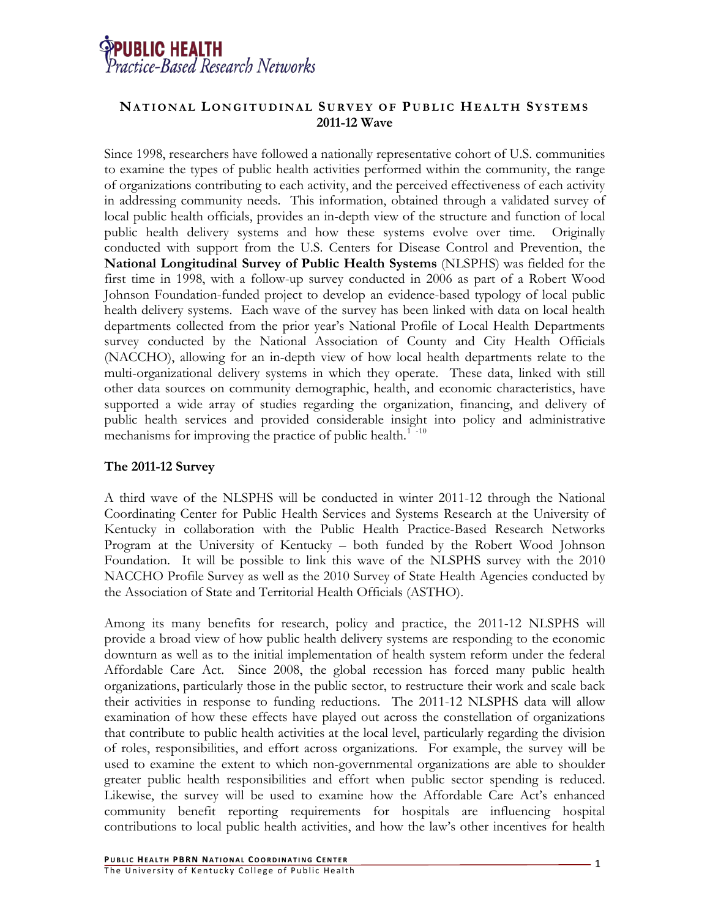

## **NATIONAL LONGITUDINAL S URVEY OF P UBLIC HEALTH SYSTEMS 2011-12 Wave**

Since 1998, researchers have followed a nationally representative cohort of U.S. communities to examine the types of public health activities performed within the community, the range of organizations contributing to each activity, and the perceived effectiveness of each activity in addressing community needs. This information, obtained through a validated survey of local public health officials, provides an in-depth view of the structure and function of local public health delivery systems and how these systems evolve over time. Originally conducted with support from the U.S. Centers for Disease Control and Prevention, the **National Longitudinal Survey of Public Health Systems** (NLSPHS) was fielded for the first time in 1998, with a follow-up survey conducted in 2006 as part of a Robert Wood Johnson Foundation-funded project to develop an evidence-based typology of local public health delivery systems. Each wave of the survey has been linked with data on local health departments collected from the prior year's National Profile of Local Health Departments survey conducted by the National Association of County and City Health Officials (NACCHO), allowing for an in-depth view of how local health departments relate to the multi-organizational delivery systems in which they operate. These data, linked with still other data sources on community demographic, health, and economic characteristics, have supported a wide array of studies regarding the organization, financing, and delivery of public health services and provided considerable insight into policy and administrative mechanisms for improving the practice of public health.<sup>[1](#page-3-0)[-](#page-3-1)10</sup>

## **The 2011-12 Survey**

A third wave of the NLSPHS will be conducted in winter 2011-12 through the National Coordinating Center for Public Health Services and Systems Research at the University of Kentucky in collaboration with the Public Health Practice-Based Research Networks Program at the University of Kentucky – both funded by the Robert Wood Johnson Foundation. It will be possible to link this wave of the NLSPHS survey with the 2010 NACCHO Profile Survey as well as the 2010 Survey of State Health Agencies conducted by the Association of State and Territorial Health Officials (ASTHO).

Among its many benefits for research, policy and practice, the 2011-12 NLSPHS will provide a broad view of how public health delivery systems are responding to the economic downturn as well as to the initial implementation of health system reform under the federal Affordable Care Act. Since 2008, the global recession has forced many public health organizations, particularly those in the public sector, to restructure their work and scale back their activities in response to funding reductions. The 2011-12 NLSPHS data will allow examination of how these effects have played out across the constellation of organizations that contribute to public health activities at the local level, particularly regarding the division of roles, responsibilities, and effort across organizations. For example, the survey will be used to examine the extent to which non-governmental organizations are able to shoulder greater public health responsibilities and effort when public sector spending is reduced. Likewise, the survey will be used to examine how the Affordable Care Act's enhanced community benefit reporting requirements for hospitals are influencing hospital contributions to local public health activities, and how the law's other incentives for health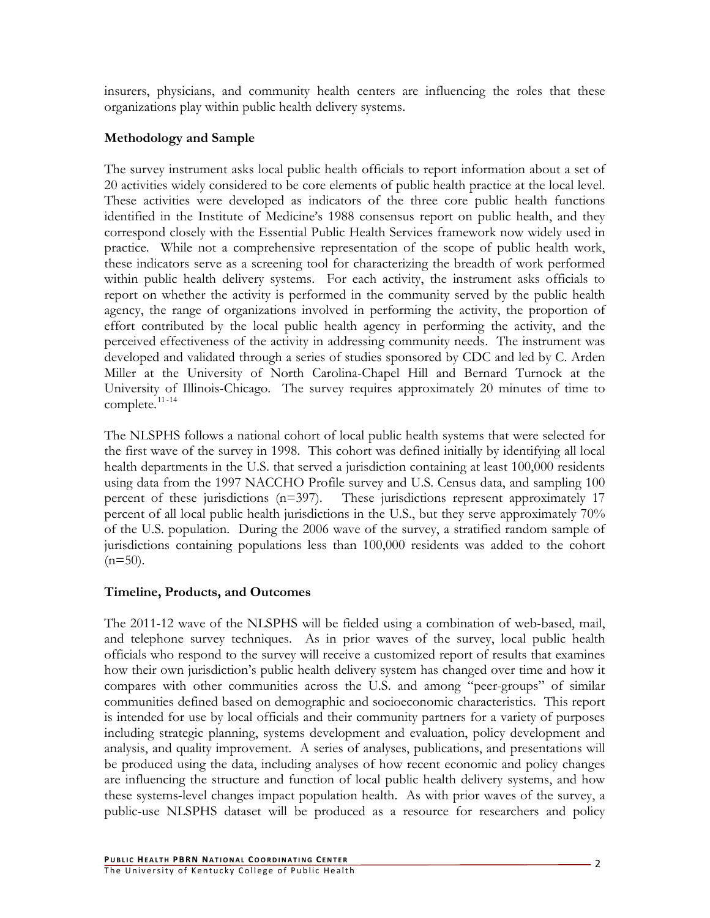insurers, physicians, and community health centers are influencing the roles that these organizations play within public health delivery systems.

# **Methodology and Sample**

The survey instrument asks local public health officials to report information about a set of 20 activities widely considered to be core elements of public health practice at the local level. These activities were developed as indicators of the three core public health functions identified in the Institute of Medicine's 1988 consensus report on public health, and they correspond closely with the Essential Public Health Services framework now widely used in practice. While not a comprehensive representation of the scope of public health work, these indicators serve as a screening tool for characterizing the breadth of work performed within public health delivery systems. For each activity, the instrument asks officials to report on whether the activity is performed in the community served by the public health agency, the range of organizations involved in performing the activity, the proportion of effort contributed by the local public health agency in performing the activity, and the perceived effectiveness of the activity in addressing community needs. The instrument was developed and validated through a series of studies sponsored by CDC and led by C. Arden Miller at the University of North Carolina-Chapel Hill and Bernard Turnock at the University of Illinois-Chicago. The survey requires approximately 20 minutes of time to  $complete.<sup>11-14</sup>$  $complete.<sup>11-14</sup>$  $complete.<sup>11-14</sup>$  $complete.<sup>11-14</sup>$ 

The NLSPHS follows a national cohort of local public health systems that were selected for the first wave of the survey in 1998. This cohort was defined initially by identifying all local health departments in the U.S. that served a jurisdiction containing at least 100,000 residents using data from the 1997 NACCHO Profile survey and U.S. Census data, and sampling 100 percent of these jurisdictions (n=397). These jurisdictions represent approximately 17 percent of all local public health jurisdictions in the U.S., but they serve approximately 70% of the U.S. population. During the 2006 wave of the survey, a stratified random sample of jurisdictions containing populations less than 100,000 residents was added to the cohort  $(n=50)$ .

## **Timeline, Products, and Outcomes**

The 2011-12 wave of the NLSPHS will be fielded using a combination of web-based, mail, and telephone survey techniques. As in prior waves of the survey, local public health officials who respond to the survey will receive a customized report of results that examines how their own jurisdiction's public health delivery system has changed over time and how it compares with other communities across the U.S. and among "peer-groups" of similar communities defined based on demographic and socioeconomic characteristics. This report is intended for use by local officials and their community partners for a variety of purposes including strategic planning, systems development and evaluation, policy development and analysis, and quality improvement. A series of analyses, publications, and presentations will be produced using the data, including analyses of how recent economic and policy changes are influencing the structure and function of local public health delivery systems, and how these systems-level changes impact population health. As with prior waves of the survey, a public-use NLSPHS dataset will be produced as a resource for researchers and policy